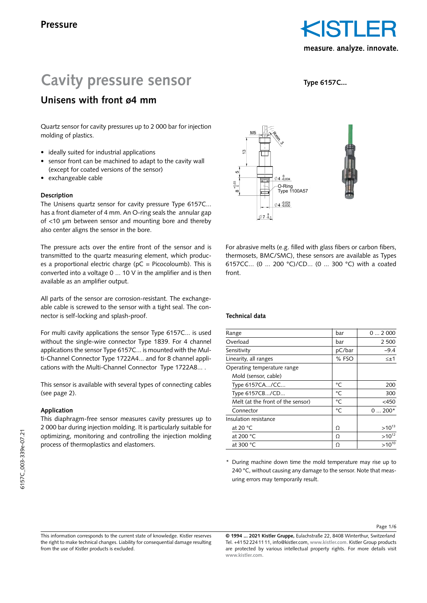**Type 6157C...**

# **Cavity pressure sensor**

# **Unisens with front ø4 mm**

Quartz sensor for cavity pressures up to 2 000 bar for injection molding of plastics.

- ideally suited for industrial applications
- sensor front can be machined to adapt to the cavity wall (except for coated versions of the sensor)
- exchangeable cable

# **Description**

The Unisens quartz sensor for cavity pressure Type 6157C... has a front diameter of 4 mm. An O-ring seals the annular gap of <10 µm between sensor and mounting bore and thereby also center aligns the sensor in the bore.

The pressure acts over the entire front of the sensor and is transmitted to the quartz measuring element, which produces a proportional electric charge ( $pC = Picocoloumb$ ). This is converted into a voltage 0 ... 10 V in the amplifier and is then available as an amplifier output.

All parts of the sensor are corrosion-resistant. The exchangeable cable is screwed to the sensor with a tight seal. The connector is self-locking and splash-proof.

For multi cavity applications the sensor Type 6157C... is used without the single-wire connector Type 1839. For 4 channel applications the sensor Type 6157C... is mounted with the Multi-Channel Connector Type 1722A4... and for 8 channel applications with the Multi-Channel Connector Type 1722A8... .

This sensor is available with several types of connecting cables (see page 2).

# **Application**

This diaphragm-free sensor measures cavity pressures up to 2 000 bar during injection molding. It is particularly suitable for optimizing, monitoring and controlling the injection molding process of thermoplastics and elastomers.



For abrasive melts (e.g. filled with glass fibers or carbon fibers, thermosets, BMC/SMC), these sensors are available as Types 6157CC... (0 ... 200 °C)/CD... (0 ... 300 °C) with a coated front.

# **Technical data**

| Range                             | bar    | 02000        |
|-----------------------------------|--------|--------------|
| Overload                          | bar    | 2 500        |
| Sensitivity                       | pC/bar | $-9.4$       |
| Linearity, all ranges             | % FSO  | $\leq \pm 1$ |
| Operating temperature range       |        |              |
| Mold (sensor, cable)              |        |              |
| Type 6157CA/CC                    | °C     | 200          |
| Type 6157CB/CD                    | °C     | 300          |
| Melt (at the front of the sensor) | °C     | $<$ 450      |
| Connector                         | °C     | $0200*$      |
| Insulation resistance             |        |              |
| at 20 $\degree$ C                 | Ω      | $>10^{13}$   |
| at 200 °C                         | Ω      | $>10^{12}$   |
| at 300 °C                         | Ω      | $>10^{10}$   |
|                                   |        |              |

\* During machine down time the mold temperature may rise up to 240 °C, without causing any damage to the sensor. Note that measuring errors may temporarily result.

Page 1/6

**© 1994 ... 2021 Kistler Gruppe,** Eulachstraße 22, 8408 Winterthur, Switzerland Tel. +41 52 224 11 11, info@kistler.com, **www.kistler.com.** Kistler Group products are protected by various intellectual property rights. For more details visit **www.kistler.com.**

This information corresponds to the current state of knowledge. Kistler reserves the right to make technical changes. Liability for consequential damage resulting from the use of Kistler products is excluded.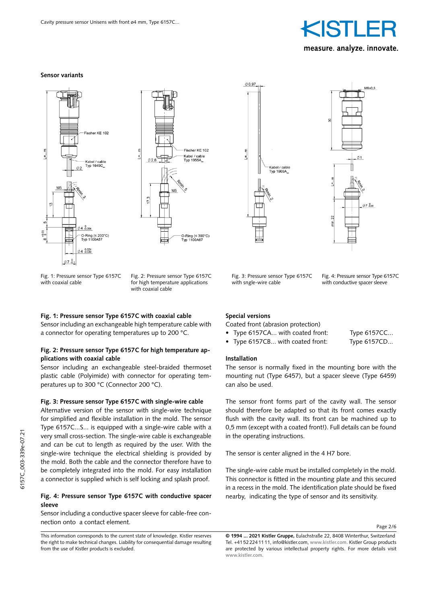







Fig. 1: Pressure sensor Type 6157C with coaxial cable

Fig. 2: Pressure sensor Type 6157C for high temperature applications with coaxial cable

#### **Fig. 1: Pressure sensor Type 6157C with coaxial cable**

Sensor including an exchangeable high temperature cable with a connector for operating temperatures up to 200 °C.

#### **Fig. 2: Pressure sensor Type 6157C for high temperature applications with coaxial cable**

Sensor including an exchangeable steel-braided thermoset plastic cable (Polyimide) with connector for operating temperatures up to 300 °C (Connector 200 °C).

#### **Fig. 3: Pressure sensor Type 6157C with single-wire cable**

Alternative version of the sensor with single-wire technique for simplified and flexible installation in the mold. The sensor Type 6157C...S... is equipped with a single-wire cable with a very small cross-section. The single-wire cable is exchangeable and can be cut to length as required by the user. With the single-wire technique the electrical shielding is provided by the mold. Both the cable and the connector therefore have to be completely integrated into the mold. For easy installation a connector is supplied which is self locking and splash proof.

#### **Fig. 4: Pressure sensor Type 6157C with conductive spacer sleeve**

Sensor including a conductive spacer sleeve for cable-free connection onto a contact element.

#### Fig. 3: Pressure sensor Type 6157C with sngle-wire cable

Fig. 4: Pressure sensor Type 6157C with conductive spacer sleeve

measure analyze innovate.

#### **Special versions**

Coated front (abrasion protection)

- Type 6157CA... with coated front: Type 6157CC...
- Type 6157CB... with coated front: Type 6157CD...

#### **Installation**

The sensor is normally fixed in the mounting bore with the mounting nut (Type 6457), but a spacer sleeve (Type 6459) can also be used.

The sensor front forms part of the cavity wall. The sensor should therefore be adapted so that its front comes exactly flush with the cavity wall. Its front can be machined up to 0,5 mm (except with a coated front!). Full details can be found in the operating instructions.

The sensor is center aligned in the 4 H7 bore.

The single-wire cable must be installed completely in the mold. This connector is fitted in the mounting plate and this secured in a recess in the mold. The identification plate should be fixed nearby, indicating the type of sensor and its sensitivity.

Page 2/6

This information corresponds to the current state of knowledge. Kistler reserves the right to make technical changes. Liability for consequential damage resulting from the use of Kistler products is excluded.

**<sup>© 1994 ... 2021</sup> Kistler Gruppe,** Eulachstraße 22, 8408 Winterthur, Switzerland Tel. +41 52 224 11 11, info@kistler.com, **www.kistler.com.** Kistler Group products are protected by various intellectual property rights. For more details visit **www.kistler.com.**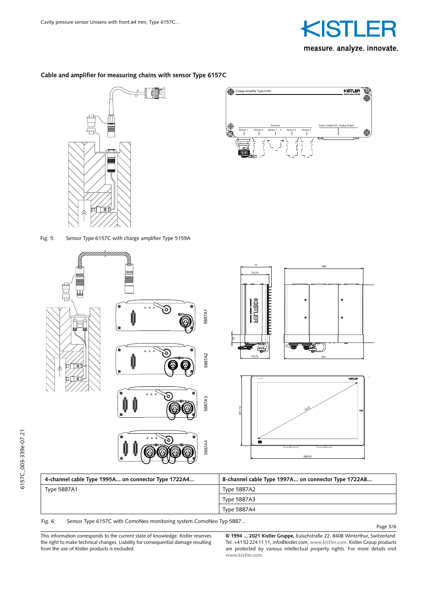

# **Cable and amplifier for measuring chains with sensor Type 6157C**





Fig. 5: Sensor Type 6157C with charge amplifier Type 5159A



Fig. 6: Sensor Type 6157C with ComoNeo monitoring system ComoNeo Typ 5887...

Page 3/6

This information corresponds to the current state of knowledge. Kistler reserves the right to make technical changes. Liability for consequential damage resulting from the use of Kistler products is excluded. persönlich anvertraut wird, verblaut wird, verblaut wird, verblaut wird, verblaut wird, verblaut wird, verblau<br>Die Speel verblaut wird, verblaut wird, verblaut wird, verblaut wird, verblaut wird, verblaut wird, verblaut w<br>  $m$  it type  $rac{1}{\sqrt{2}}$ 

**© 1994 ... 2021 Kistler Gruppe,** Eulachstraße 22, 8408 Winterthur, Switzerland<br>Tel. 144522244444 info@bittler.com www.bittler.com Kistler Grave and tests Tel. +41 52 224 11 11, info@kistler.com, **www.kistler.com.** Kistler Group products are protected by various intellectual property rights. For more details visit **www.kistler.com.**  $\frac{1}{2}$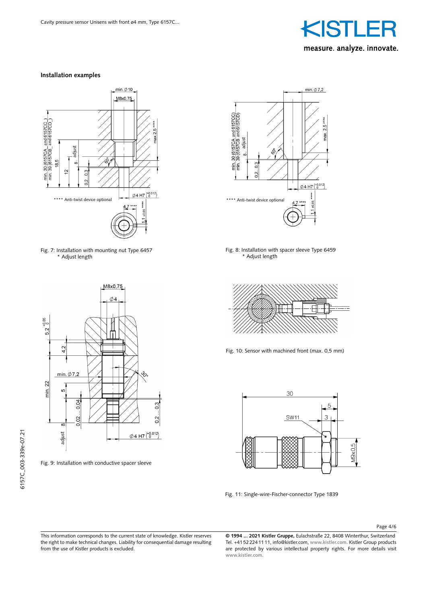

#### **Installation examples**







Fig. 9: Installation with conductive spacer sleeve



Fig. 8: Installation with spacer sleeve Type 6459 \* Adjust length



Fig. 10: Sensor with machined front (max. 0,5 mm)



Fig. 11: Single-wire-Fischer-connector Type 1839

Page 4/6

This information corresponds to the current state of knowledge. Kistler reserves the right to make technical changes. Liability for consequential damage resulting from the use of Kistler products is excluded.

**© 1994 ... 2021 Kistler Gruppe,** Eulachstraße 22, 8408 Winterthur, Switzerland Tel. +41 52 224 11 11, info@kistler.com, **www.kistler.com.** Kistler Group products are protected by various intellectual property rights. For more details visit **www.kistler.com.**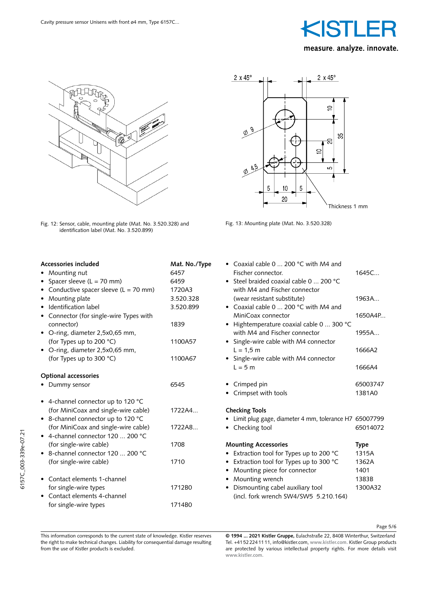



Fig. 12: Sensor, cable, mounting plate (Mat. No. 3.520.328) and identification label (Mat. No. 3.520.899)



Fig. 13: Mounting plate (Mat. No. 3.520.328)

| Accessories included                   | Mat. No./Type | • Coaxial cable 0 $\dots$ 200 °C with M4 and            |             |
|----------------------------------------|---------------|---------------------------------------------------------|-------------|
| Mounting nut                           | 6457          | Fischer connector.                                      | 1645C       |
| • Spacer sleeve $(L = 70$ mm)          | 6459          | • Steel braided coaxial cable 0  200 °C                 |             |
| Conductive spacer sleeve $(L = 70$ mm) | 1720A3        | with M4 and Fischer connector                           |             |
| Mounting plate                         | 3.520.328     | (wear resistant substitute)                             | 1963A       |
| Identification label                   | 3.520.899     | • Coaxial cable 0  200 °C with M4 and                   |             |
| Connector (for single-wire Types with  |               | MiniCoax connector                                      | 1650A4P     |
| connector)                             | 1839          | • Hightemperature coaxial cable 0  300 °C               |             |
| • O-ring, diameter 2,5x0,65 mm,        |               | with M4 and Fischer connector                           | 1955A       |
| (for Types up to 200 °C)               | 1100A57       | • Single-wire cable with M4 connector                   |             |
| • O-ring, diameter 2,5x0,65 mm,        |               | $L = 1.5 m$                                             | 1666A2      |
| (for Types up to 300 °C)               | 1100A67       | • Single-wire cable with M4 connector                   |             |
|                                        |               | $L = 5$ m                                               | 1666A4      |
| <b>Optional accessories</b>            |               |                                                         |             |
| • Dummy sensor                         | 6545          | • Crimped pin                                           | 65003747    |
|                                        |               | Crimpset with tools                                     | 1381A0      |
| • 4-channel connector up to 120 °C     |               |                                                         |             |
| (for MiniCoax and single-wire cable)   | 1722A4        | <b>Checking Tools</b>                                   |             |
| • 8-channel connector up to 120 °C     |               | • Limit plug gage, diameter 4 mm, tolerance H7 65007799 |             |
| (for MiniCoax and single-wire cable)   | 1722A8        | • Checking tool                                         | 65014072    |
| • 4-channel connector 120  200 °C      |               |                                                         |             |
| (for single-wire cable)                | 1708          | <b>Mounting Accessories</b>                             | <b>Type</b> |
| • 8-channel connector 120  200 °C      |               | • Extraction tool for Types up to 200 °C                | 1315A       |
| (for single-wire cable)                | 1710          | • Extraction tool for Types up to 300 °C                | 1362A       |
|                                        |               | • Mounting piece for connector                          | 1401        |
| Contact elements 1-channel             |               | • Mounting wrench                                       | 1383B       |
| for single-wire types                  | 1712B0        | • Dismounting cabel auxiliary tool                      | 1300A32     |
| • Contact elements 4-channel           |               | (incl. fork wrench SW4/SW5 5.210.164)                   |             |
|                                        | 1714B0        |                                                         |             |
| for single-wire types                  |               |                                                         |             |

Page 5/6

This information corresponds to the current state of knowledge. Kistler reserves the right to make technical changes. Liability for consequential damage resulting from the use of Kistler products is excluded.

**© 1994 ... 2021 Kistler Gruppe,** Eulachstraße 22, 8408 Winterthur, Switzerland Tel. +41 52 224 11 11, info@kistler.com, **www.kistler.com.** Kistler Group products are protected by various intellectual property rights. For more details visit **www.kistler.com.**